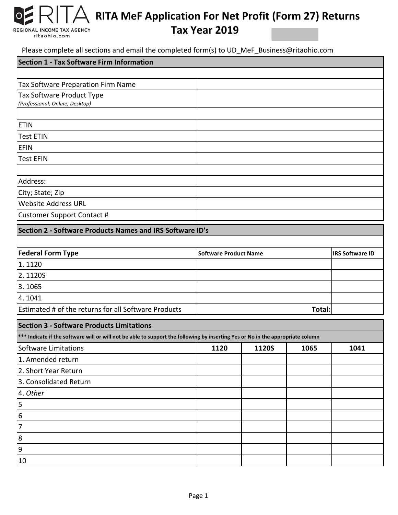## **RITA MeF Application For Net Profit (Form 27) Returns**

REGIONAL INCOME TAX AGENCY ritaohio.com

 $\overline{O}$ 

## **Tax Year 2019**

Please complete all sections and email the completed form(s) to UD\_MeF\_Business@ritaohio.com

| $\sim$ an occasions and chian the completed form (b) to be find. Basiness $\sim$ fit as more<br>Section 1 - Tax Software Firm Information |                              |                        |
|-------------------------------------------------------------------------------------------------------------------------------------------|------------------------------|------------------------|
|                                                                                                                                           |                              |                        |
| Tax Software Preparation Firm Name                                                                                                        |                              |                        |
| <b>Tax Software Product Type</b>                                                                                                          |                              |                        |
| (Professional; Online; Desktop)                                                                                                           |                              |                        |
|                                                                                                                                           |                              |                        |
| <b>ETIN</b>                                                                                                                               |                              |                        |
| <b>Test ETIN</b>                                                                                                                          |                              |                        |
| <b>EFIN</b>                                                                                                                               |                              |                        |
| <b>Test EFIN</b>                                                                                                                          |                              |                        |
|                                                                                                                                           |                              |                        |
| Address:                                                                                                                                  |                              |                        |
| City; State; Zip                                                                                                                          |                              |                        |
| <b>Website Address URL</b>                                                                                                                |                              |                        |
| <b>Customer Support Contact #</b>                                                                                                         |                              |                        |
| Section 2 - Software Products Names and IRS Software ID's                                                                                 |                              |                        |
|                                                                                                                                           |                              |                        |
| <b>Federal Form Type</b>                                                                                                                  | <b>Software Product Name</b> | <b>IRS Software ID</b> |
| 1.1120                                                                                                                                    |                              |                        |
| 2.1120S                                                                                                                                   |                              |                        |
| 3.1065                                                                                                                                    |                              |                        |
| 4.1041                                                                                                                                    |                              |                        |
| Estimated # of the returns for all Software Products                                                                                      | Total:                       |                        |
| <b>Section 3 - Software Products Limitations</b>                                                                                          |                              |                        |
| *** Indicate if the software will or will not be able to support the following by inserting Yes or No in the appropriate column           |                              |                        |

| marcher in the surface will be will not be able to support the following by miscrimg res or no in the uppropriate column |      |       |      |      |
|--------------------------------------------------------------------------------------------------------------------------|------|-------|------|------|
| Software Limitations                                                                                                     | 1120 | 1120S | 1065 | 1041 |
| 1. Amended return                                                                                                        |      |       |      |      |
| 2. Short Year Return                                                                                                     |      |       |      |      |
| 3. Consolidated Return                                                                                                   |      |       |      |      |
| 4. Other                                                                                                                 |      |       |      |      |
| 5                                                                                                                        |      |       |      |      |
| 6                                                                                                                        |      |       |      |      |
|                                                                                                                          |      |       |      |      |
| 8                                                                                                                        |      |       |      |      |
| 9                                                                                                                        |      |       |      |      |
| 10                                                                                                                       |      |       |      |      |